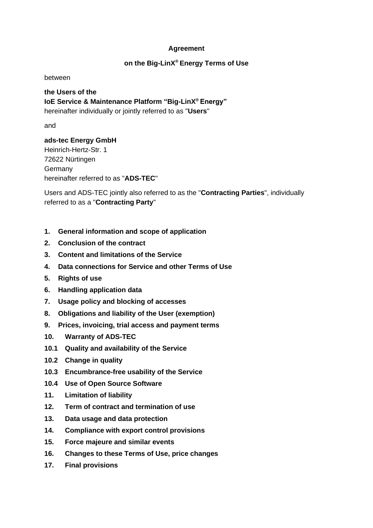### **Agreement**

## **on the Big-LinX® Energy Terms of Use**

between

**the Users of the IoE Service & Maintenance Platform "Big-LinX® Energy"** hereinafter individually or jointly referred to as "**Users**"

and

**ads-tec Energy GmbH** Heinrich-Hertz-Str. 1 72622 Nürtingen Germany

hereinafter referred to as "**ADS-TEC**"

Users and ADS-TEC jointly also referred to as the "**Contracting Parties**", individually referred to as a "**Contracting Party**"

- **1. [General information and scope of application](#page-1-0)**
- **2. [Conclusion of the contract](#page-1-1)**
- **3. [Content and limitations of the Service](#page-2-0)**
- **4. [Data connections for Service and other Terms of Use](#page-3-0)**
- **5. [Rights of use](#page-3-1)**
- **6. [Handling application data](#page-5-0)**
- **7. [Usage policy and blocking of accesses](#page-6-0)**
- **8. [Obligations and liability of the User \(exemption\)](#page-7-0)**
- **9. [Prices, invoicing, trial access and payment terms](#page-8-0)**
- **10. [Warranty of ADS-TEC](#page-9-0)**
- **10.1 [Quality and availability of the Service](#page-9-1)**
- **10.2 [Change in quality](#page-10-0)**
- **10.3 [Encumbrance-free usability of the Service](#page-10-1)**
- **10.4 [Use of Open Source Software](#page-11-0)**
- **11. [Limitation of liability](#page-11-1)**
- **12. [Term of contract and termination of use](#page-12-0)**
- **13. [Data usage and data protection](#page-13-0)**
- **14. [Compliance with export control provisions](#page-13-1)**
- **15. [Force majeure and similar events](#page-14-0)**
- **16. [Changes to these Terms of Use, price changes](#page-14-1)**
- **17. [Final provisions](#page-15-0)**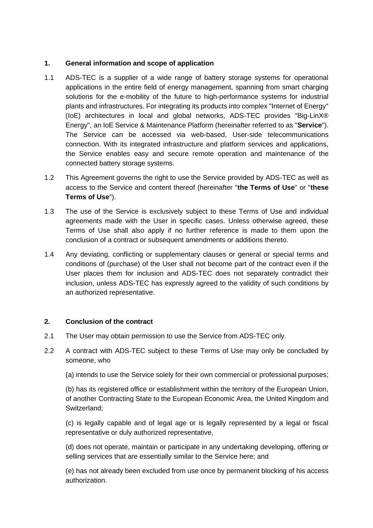### <span id="page-1-0"></span>**1. General information and scope of application**

- 1.1 ADS-TEC is a supplier of a wide range of battery storage systems for operational applications in the entire field of energy management, spanning from smart charging solutions for the e-mobility of the future to high-performance systems for industrial plants and infrastructures. For integrating its products into complex "Internet of Energy" (IoE) architectures in local and global networks, ADS-TEC provides "Big-LinX® Energy", an IoE Service & Maintenance Platform (hereinafter referred to as "**Service**"). The Service can be accessed via web-based, User-side telecommunications connection. With its integrated infrastructure and platform services and applications, the Service enables easy and secure remote operation and maintenance of the connected battery storage systems.
- 1.2 This Agreement governs the right to use the Service provided by ADS-TEC as well as access to the Service and content thereof (hereinafter "**the Terms of Use**" or "**these Terms of Use**").
- 1.3 The use of the Service is exclusively subject to these Terms of Use and individual agreements made with the User in specific cases. Unless otherwise agreed, these Terms of Use shall also apply if no further reference is made to them upon the conclusion of a contract or subsequent amendments or additions thereto.
- 1.4 Any deviating, conflicting or supplementary clauses or general or special terms and conditions of (purchase) of the User shall not become part of the contract even if the User places them for inclusion and ADS-TEC does not separately contradict their inclusion, unless ADS-TEC has expressly agreed to the validity of such conditions by an authorized representative.

### <span id="page-1-1"></span>**2. Conclusion of the contract**

- 2.1 The User may obtain permission to use the Service from ADS-TEC only.
- 2.2 A contract with ADS-TEC subject to these Terms of Use may only be concluded by someone, who
	- (a) intends to use the Service solely for their own commercial or professional purposes;

(b) has its registered office or establishment within the territory of the European Union, of another Contracting State to the European Economic Area, the United Kingdom and Switzerland;

(c) is legally capable and of legal age or is legally represented by a legal or fiscal representative or duly authorized representative,

(d) does not operate, maintain or participate in any undertaking developing, offering or selling services that are essentially similar to the Service here; and

(e) has not already been excluded from use once by permanent blocking of his access authorization.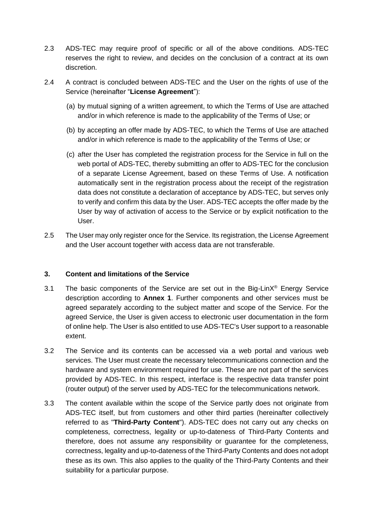- 2.3 ADS-TEC may require proof of specific or all of the above conditions. ADS-TEC reserves the right to review, and decides on the conclusion of a contract at its own discretion.
- 2.4 A contract is concluded between ADS-TEC and the User on the rights of use of the Service (hereinafter "**License Agreement**"):
	- (a) by mutual signing of a written agreement, to which the Terms of Use are attached and/or in which reference is made to the applicability of the Terms of Use; or
	- (b) by accepting an offer made by ADS-TEC, to which the Terms of Use are attached and/or in which reference is made to the applicability of the Terms of Use; or
	- (c) after the User has completed the registration process for the Service in full on the web portal of ADS-TEC, thereby submitting an offer to ADS-TEC for the conclusion of a separate License Agreement, based on these Terms of Use. A notification automatically sent in the registration process about the receipt of the registration data does not constitute a declaration of acceptance by ADS-TEC, but serves only to verify and confirm this data by the User. ADS-TEC accepts the offer made by the User by way of activation of access to the Service or by explicit notification to the User.
- 2.5 The User may only register once for the Service. Its registration, the License Agreement and the User account together with access data are not transferable.

### <span id="page-2-0"></span>**3. Content and limitations of the Service**

- 3.1 The basic components of the Service are set out in the Big-Lin $X^{\circ}$  Energy Service description according to **Annex 1**. Further components and other services must be agreed separately according to the subject matter and scope of the Service. For the agreed Service, the User is given access to electronic user documentation in the form of online help. The User is also entitled to use ADS-TEC's User support to a reasonable extent.
- 3.2 The Service and its contents can be accessed via a web portal and various web services. The User must create the necessary telecommunications connection and the hardware and system environment required for use. These are not part of the services provided by ADS-TEC. In this respect, interface is the respective data transfer point (router output) of the server used by ADS-TEC for the telecommunications network.
- 3.3 The content available within the scope of the Service partly does not originate from ADS-TEC itself, but from customers and other third parties (hereinafter collectively referred to as "**Third-Party Content**"). ADS-TEC does not carry out any checks on completeness, correctness, legality or up-to-dateness of Third-Party Contents and therefore, does not assume any responsibility or guarantee for the completeness, correctness, legality and up-to-dateness of the Third-Party Contents and does not adopt these as its own. This also applies to the quality of the Third-Party Contents and their suitability for a particular purpose.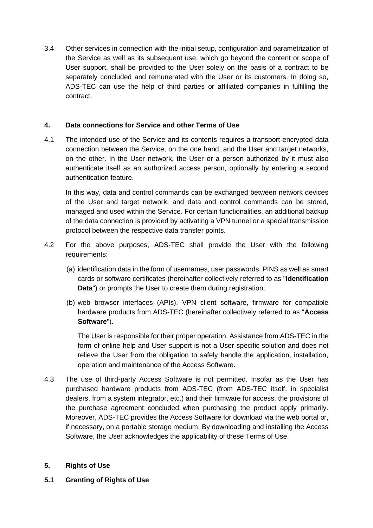3.4 Other services in connection with the initial setup, configuration and parametrization of the Service as well as its subsequent use, which go beyond the content or scope of User support, shall be provided to the User solely on the basis of a contract to be separately concluded and remunerated with the User or its customers. In doing so, ADS-TEC can use the help of third parties or affiliated companies in fulfilling the contract.

## <span id="page-3-0"></span>**4. Data connections for Service and other Terms of Use**

4.1 The intended use of the Service and its contents requires a transport-encrypted data connection between the Service, on the one hand, and the User and target networks, on the other. In the User network, the User or a person authorized by it must also authenticate itself as an authorized access person, optionally by entering a second authentication feature.

In this way, data and control commands can be exchanged between network devices of the User and target network, and data and control commands can be stored, managed and used within the Service. For certain functionalities, an additional backup of the data connection is provided by activating a VPN tunnel or a special transmission protocol between the respective data transfer points.

- 4.2 For the above purposes, ADS-TEC shall provide the User with the following requirements:
	- (a) identification data in the form of usernames, user passwords, PINS as well as smart cards or software certificates (hereinafter collectively referred to as "**Identification Data**") or prompts the User to create them during registration;
	- (b) web browser interfaces (APIs), VPN client software, firmware for compatible hardware products from ADS-TEC (hereinafter collectively referred to as "**Access Software**").

The User is responsible for their proper operation. Assistance from ADS-TEC in the form of online help and User support is not a User-specific solution and does not relieve the User from the obligation to safely handle the application, installation, operation and maintenance of the Access Software.

4.3 The use of third-party Access Software is not permitted. Insofar as the User has purchased hardware products from ADS-TEC (from ADS-TEC itself, in specialist dealers, from a system integrator, etc.) and their firmware for access, the provisions of the purchase agreement concluded when purchasing the product apply primarily. Moreover, ADS-TEC provides the Access Software for download via the web portal or, if necessary, on a portable storage medium. By downloading and installing the Access Software, the User acknowledges the applicability of these Terms of Use.

### <span id="page-3-1"></span>**5. Rights of Use**

**5.1 Granting of Rights of Use**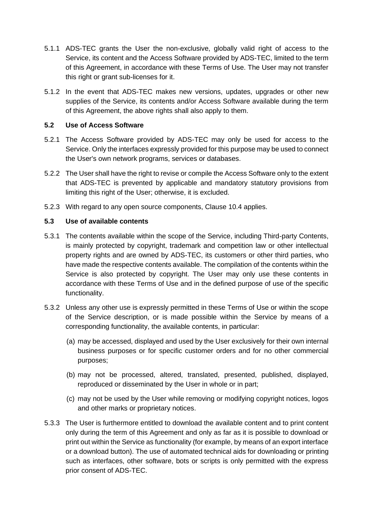- 5.1.1 ADS-TEC grants the User the non-exclusive, globally valid right of access to the Service, its content and the Access Software provided by ADS-TEC, limited to the term of this Agreement, in accordance with these Terms of Use. The User may not transfer this right or grant sub-licenses for it.
- 5.1.2 In the event that ADS-TEC makes new versions, updates, upgrades or other new supplies of the Service, its contents and/or Access Software available during the term of this Agreement, the above rights shall also apply to them.

### **5.2 Use of Access Software**

- 5.2.1 The Access Software provided by ADS-TEC may only be used for access to the Service. Only the interfaces expressly provided for this purpose may be used to connect the User's own network programs, services or databases.
- 5.2.2 The User shall have the right to revise or compile the Access Software only to the extent that ADS-TEC is prevented by applicable and mandatory statutory provisions from limiting this right of the User; otherwise, it is excluded.
- 5.2.3 With regard to any open source components, Clause 10.4 applies.

### **5.3 Use of available contents**

- 5.3.1 The contents available within the scope of the Service, including Third-party Contents, is mainly protected by copyright, trademark and competition law or other intellectual property rights and are owned by ADS-TEC, its customers or other third parties, who have made the respective contents available. The compilation of the contents within the Service is also protected by copyright. The User may only use these contents in accordance with these Terms of Use and in the defined purpose of use of the specific functionality.
- 5.3.2 Unless any other use is expressly permitted in these Terms of Use or within the scope of the Service description, or is made possible within the Service by means of a corresponding functionality, the available contents, in particular:
	- (a) may be accessed, displayed and used by the User exclusively for their own internal business purposes or for specific customer orders and for no other commercial purposes;
	- (b) may not be processed, altered, translated, presented, published, displayed, reproduced or disseminated by the User in whole or in part;
	- (c) may not be used by the User while removing or modifying copyright notices, logos and other marks or proprietary notices.
- 5.3.3 The User is furthermore entitled to download the available content and to print content only during the term of this Agreement and only as far as it is possible to download or print out within the Service as functionality (for example, by means of an export interface or a download button). The use of automated technical aids for downloading or printing such as interfaces, other software, bots or scripts is only permitted with the express prior consent of ADS-TEC.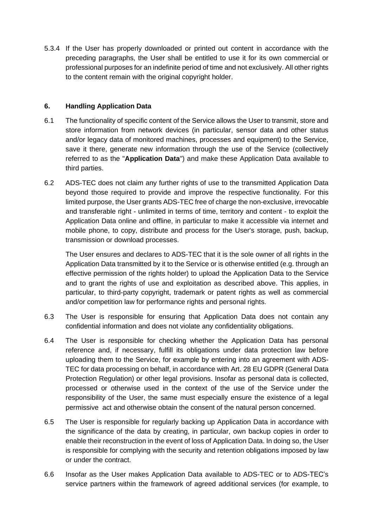5.3.4 If the User has properly downloaded or printed out content in accordance with the preceding paragraphs, the User shall be entitled to use it for its own commercial or professional purposes for an indefinite period of time and not exclusively. All other rights to the content remain with the original copyright holder.

### <span id="page-5-0"></span>**6. Handling Application Data**

- 6.1 The functionality of specific content of the Service allows the User to transmit, store and store information from network devices (in particular, sensor data and other status and/or legacy data of monitored machines, processes and equipment) to the Service, save it there, generate new information through the use of the Service (collectively referred to as the "**Application Data**") and make these Application Data available to third parties.
- 6.2 ADS-TEC does not claim any further rights of use to the transmitted Application Data beyond those required to provide and improve the respective functionality. For this limited purpose, the User grants ADS-TEC free of charge the non-exclusive, irrevocable and transferable right - unlimited in terms of time, territory and content - to exploit the Application Data online and offline, in particular to make it accessible via internet and mobile phone, to copy, distribute and process for the User's storage, push, backup, transmission or download processes.

The User ensures and declares to ADS-TEC that it is the sole owner of all rights in the Application Data transmitted by it to the Service or is otherwise entitled (e.g. through an effective permission of the rights holder) to upload the Application Data to the Service and to grant the rights of use and exploitation as described above. This applies, in particular, to third-party copyright, trademark or patent rights as well as commercial and/or competition law for performance rights and personal rights.

- 6.3 The User is responsible for ensuring that Application Data does not contain any confidential information and does not violate any confidentiality obligations.
- 6.4 The User is responsible for checking whether the Application Data has personal reference and, if necessary, fulfill its obligations under data protection law before uploading them to the Service, for example by entering into an agreement with ADS-TEC for data processing on behalf, in accordance with Art. 28 EU GDPR (General Data Protection Regulation) or other legal provisions. Insofar as personal data is collected, processed or otherwise used in the context of the use of the Service under the responsibility of the User, the same must especially ensure the existence of a legal permissive act and otherwise obtain the consent of the natural person concerned.
- 6.5 The User is responsible for regularly backing up Application Data in accordance with the significance of the data by creating, in particular, own backup copies in order to enable their reconstruction in the event of loss of Application Data. In doing so, the User is responsible for complying with the security and retention obligations imposed by law or under the contract.
- 6.6 Insofar as the User makes Application Data available to ADS-TEC or to ADS-TEC's service partners within the framework of agreed additional services (for example, to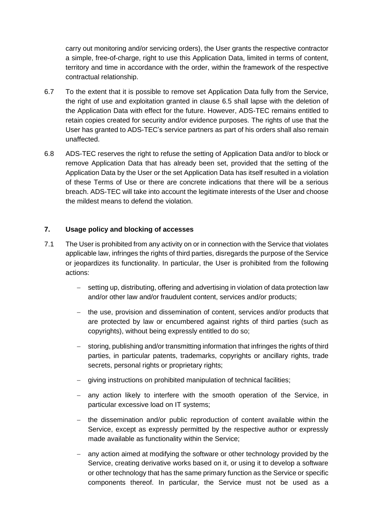carry out monitoring and/or servicing orders), the User grants the respective contractor a simple, free-of-charge, right to use this Application Data, limited in terms of content, territory and time in accordance with the order, within the framework of the respective contractual relationship.

- 6.7 To the extent that it is possible to remove set Application Data fully from the Service, the right of use and exploitation granted in clause 6.5 shall lapse with the deletion of the Application Data with effect for the future. However, ADS-TEC remains entitled to retain copies created for security and/or evidence purposes. The rights of use that the User has granted to ADS-TEC's service partners as part of his orders shall also remain unaffected.
- 6.8 ADS-TEC reserves the right to refuse the setting of Application Data and/or to block or remove Application Data that has already been set, provided that the setting of the Application Data by the User or the set Application Data has itself resulted in a violation of these Terms of Use or there are concrete indications that there will be a serious breach. ADS-TEC will take into account the legitimate interests of the User and choose the mildest means to defend the violation.

## <span id="page-6-0"></span>**7. Usage policy and blocking of accesses**

- 7.1 The User is prohibited from any activity on or in connection with the Service that violates applicable law, infringes the rights of third parties, disregards the purpose of the Service or jeopardizes its functionality. In particular, the User is prohibited from the following actions:
	- − setting up, distributing, offering and advertising in violation of data protection law and/or other law and/or fraudulent content, services and/or products;
	- − the use, provision and dissemination of content, services and/or products that are protected by law or encumbered against rights of third parties (such as copyrights), without being expressly entitled to do so;
	- − storing, publishing and/or transmitting information that infringes the rights of third parties, in particular patents, trademarks, copyrights or ancillary rights, trade secrets, personal rights or proprietary rights;
	- giving instructions on prohibited manipulation of technical facilities;
	- − any action likely to interfere with the smooth operation of the Service, in particular excessive load on IT systems;
	- − the dissemination and/or public reproduction of content available within the Service, except as expressly permitted by the respective author or expressly made available as functionality within the Service;
	- − any action aimed at modifying the software or other technology provided by the Service, creating derivative works based on it, or using it to develop a software or other technology that has the same primary function as the Service or specific components thereof. In particular, the Service must not be used as a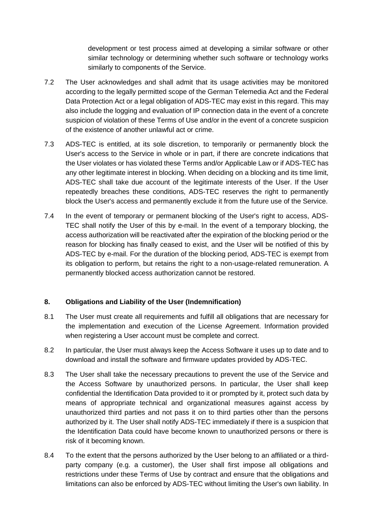development or test process aimed at developing a similar software or other similar technology or determining whether such software or technology works similarly to components of the Service.

- 7.2 The User acknowledges and shall admit that its usage activities may be monitored according to the legally permitted scope of the German Telemedia Act and the Federal Data Protection Act or a legal obligation of ADS-TEC may exist in this regard. This may also include the logging and evaluation of IP connection data in the event of a concrete suspicion of violation of these Terms of Use and/or in the event of a concrete suspicion of the existence of another unlawful act or crime.
- 7.3 ADS-TEC is entitled, at its sole discretion, to temporarily or permanently block the User's access to the Service in whole or in part, if there are concrete indications that the User violates or has violated these Terms and/or Applicable Law or if ADS-TEC has any other legitimate interest in blocking. When deciding on a blocking and its time limit, ADS-TEC shall take due account of the legitimate interests of the User. If the User repeatedly breaches these conditions, ADS-TEC reserves the right to permanently block the User's access and permanently exclude it from the future use of the Service.
- 7.4 In the event of temporary or permanent blocking of the User's right to access, ADS-TEC shall notify the User of this by e-mail. In the event of a temporary blocking, the access authorization will be reactivated after the expiration of the blocking period or the reason for blocking has finally ceased to exist, and the User will be notified of this by ADS-TEC by e-mail. For the duration of the blocking period, ADS-TEC is exempt from its obligation to perform, but retains the right to a non-usage-related remuneration. A permanently blocked access authorization cannot be restored.

## <span id="page-7-0"></span>**8. Obligations and Liability of the User (Indemnification)**

- 8.1 The User must create all requirements and fulfill all obligations that are necessary for the implementation and execution of the License Agreement. Information provided when registering a User account must be complete and correct.
- 8.2 In particular, the User must always keep the Access Software it uses up to date and to download and install the software and firmware updates provided by ADS-TEC.
- 8.3 The User shall take the necessary precautions to prevent the use of the Service and the Access Software by unauthorized persons. In particular, the User shall keep confidential the Identification Data provided to it or prompted by it, protect such data by means of appropriate technical and organizational measures against access by unauthorized third parties and not pass it on to third parties other than the persons authorized by it. The User shall notify ADS-TEC immediately if there is a suspicion that the Identification Data could have become known to unauthorized persons or there is risk of it becoming known.
- 8.4 To the extent that the persons authorized by the User belong to an affiliated or a thirdparty company (e.g. a customer), the User shall first impose all obligations and restrictions under these Terms of Use by contract and ensure that the obligations and limitations can also be enforced by ADS-TEC without limiting the User's own liability. In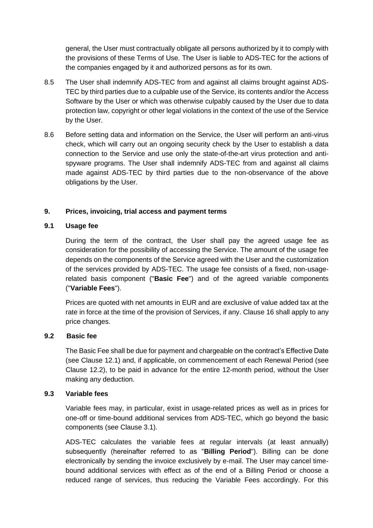general, the User must contractually obligate all persons authorized by it to comply with the provisions of these Terms of Use. The User is liable to ADS-TEC for the actions of the companies engaged by it and authorized persons as for its own.

- 8.5 The User shall indemnify ADS-TEC from and against all claims brought against ADS-TEC by third parties due to a culpable use of the Service, its contents and/or the Access Software by the User or which was otherwise culpably caused by the User due to data protection law, copyright or other legal violations in the context of the use of the Service by the User.
- 8.6 Before setting data and information on the Service, the User will perform an anti-virus check, which will carry out an ongoing security check by the User to establish a data connection to the Service and use only the state-of-the-art virus protection and antispyware programs. The User shall indemnify ADS-TEC from and against all claims made against ADS-TEC by third parties due to the non-observance of the above obligations by the User.

# <span id="page-8-0"></span>**9. Prices, invoicing, trial access and payment terms**

# **9.1 Usage fee**

During the term of the contract, the User shall pay the agreed usage fee as consideration for the possibility of accessing the Service. The amount of the usage fee depends on the components of the Service agreed with the User and the customization of the services provided by ADS-TEC. The usage fee consists of a fixed, non-usagerelated basis component ("**Basic Fee**") and of the agreed variable components ("**Variable Fees**").

Prices are quoted with net amounts in EUR and are exclusive of value added tax at the rate in force at the time of the provision of Services, if any. Clause 16 shall apply to any price changes.

## **9.2 Basic fee**

The Basic Fee shall be due for payment and chargeable on the contract's Effective Date (see Clause 12.1) and, if applicable, on commencement of each Renewal Period (see Clause 12.2), to be paid in advance for the entire 12-month period, without the User making any deduction.

## **9.3 Variable fees**

Variable fees may, in particular, exist in usage-related prices as well as in prices for one-off or time-bound additional services from ADS-TEC, which go beyond the basic components (see Clause 3.1).

ADS-TEC calculates the variable fees at regular intervals (at least annually) subsequently (hereinafter referred to as "**Billing Period**"). Billing can be done electronically by sending the invoice exclusively by e-mail. The User may cancel timebound additional services with effect as of the end of a Billing Period or choose a reduced range of services, thus reducing the Variable Fees accordingly. For this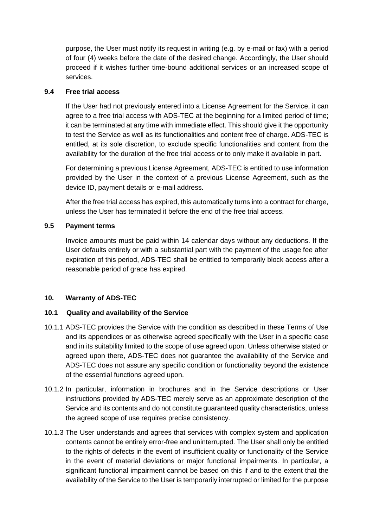purpose, the User must notify its request in writing (e.g. by e-mail or fax) with a period of four (4) weeks before the date of the desired change. Accordingly, the User should proceed if it wishes further time-bound additional services or an increased scope of services.

### **9.4 Free trial access**

If the User had not previously entered into a License Agreement for the Service, it can agree to a free trial access with ADS-TEC at the beginning for a limited period of time; it can be terminated at any time with immediate effect. This should give it the opportunity to test the Service as well as its functionalities and content free of charge. ADS-TEC is entitled, at its sole discretion, to exclude specific functionalities and content from the availability for the duration of the free trial access or to only make it available in part.

For determining a previous License Agreement, ADS-TEC is entitled to use information provided by the User in the context of a previous License Agreement, such as the device ID, payment details or e-mail address.

After the free trial access has expired, this automatically turns into a contract for charge, unless the User has terminated it before the end of the free trial access.

### **9.5 Payment terms**

Invoice amounts must be paid within 14 calendar days without any deductions. If the User defaults entirely or with a substantial part with the payment of the usage fee after expiration of this period, ADS-TEC shall be entitled to temporarily block access after a reasonable period of grace has expired.

## <span id="page-9-0"></span>**10. Warranty of ADS-TEC**

### <span id="page-9-1"></span>**10.1 Quality and availability of the Service**

- 10.1.1 ADS-TEC provides the Service with the condition as described in these Terms of Use and its appendices or as otherwise agreed specifically with the User in a specific case and in its suitability limited to the scope of use agreed upon. Unless otherwise stated or agreed upon there, ADS-TEC does not guarantee the availability of the Service and ADS-TEC does not assure any specific condition or functionality beyond the existence of the essential functions agreed upon.
- 10.1.2 In particular, information in brochures and in the Service descriptions or User instructions provided by ADS-TEC merely serve as an approximate description of the Service and its contents and do not constitute guaranteed quality characteristics, unless the agreed scope of use requires precise consistency.
- 10.1.3 The User understands and agrees that services with complex system and application contents cannot be entirely error-free and uninterrupted. The User shall only be entitled to the rights of defects in the event of insufficient quality or functionality of the Service in the event of material deviations or major functional impairments. In particular, a significant functional impairment cannot be based on this if and to the extent that the availability of the Service to the User is temporarily interrupted or limited for the purpose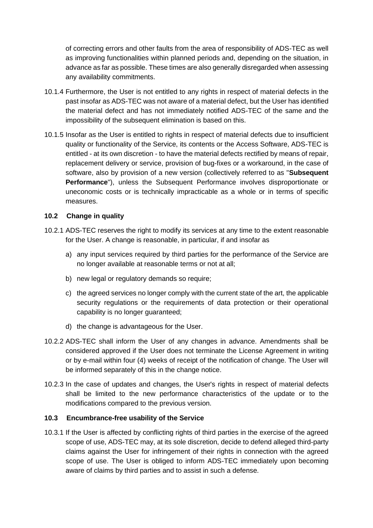of correcting errors and other faults from the area of responsibility of ADS-TEC as well as improving functionalities within planned periods and, depending on the situation, in advance as far as possible. These times are also generally disregarded when assessing any availability commitments.

- 10.1.4 Furthermore, the User is not entitled to any rights in respect of material defects in the past insofar as ADS-TEC was not aware of a material defect, but the User has identified the material defect and has not immediately notified ADS-TEC of the same and the impossibility of the subsequent elimination is based on this.
- 10.1.5 Insofar as the User is entitled to rights in respect of material defects due to insufficient quality or functionality of the Service, its contents or the Access Software, ADS-TEC is entitled - at its own discretion - to have the material defects rectified by means of repair, replacement delivery or service, provision of bug-fixes or a workaround, in the case of software, also by provision of a new version (collectively referred to as "**Subsequent Performance**"), unless the Subsequent Performance involves disproportionate or uneconomic costs or is technically impracticable as a whole or in terms of specific measures.

### <span id="page-10-0"></span>**10.2 Change in quality**

- 10.2.1 ADS-TEC reserves the right to modify its services at any time to the extent reasonable for the User. A change is reasonable, in particular, if and insofar as
	- a) any input services required by third parties for the performance of the Service are no longer available at reasonable terms or not at all;
	- b) new legal or regulatory demands so require;
	- c) the agreed services no longer comply with the current state of the art, the applicable security regulations or the requirements of data protection or their operational capability is no longer guaranteed;
	- d) the change is advantageous for the User.
- 10.2.2 ADS-TEC shall inform the User of any changes in advance. Amendments shall be considered approved if the User does not terminate the License Agreement in writing or by e-mail within four (4) weeks of receipt of the notification of change. The User will be informed separately of this in the change notice.
- 10.2.3 In the case of updates and changes, the User's rights in respect of material defects shall be limited to the new performance characteristics of the update or to the modifications compared to the previous version.

### <span id="page-10-1"></span>**10.3 Encumbrance-free usability of the Service**

10.3.1 If the User is affected by conflicting rights of third parties in the exercise of the agreed scope of use, ADS-TEC may, at its sole discretion, decide to defend alleged third-party claims against the User for infringement of their rights in connection with the agreed scope of use. The User is obliged to inform ADS-TEC immediately upon becoming aware of claims by third parties and to assist in such a defense.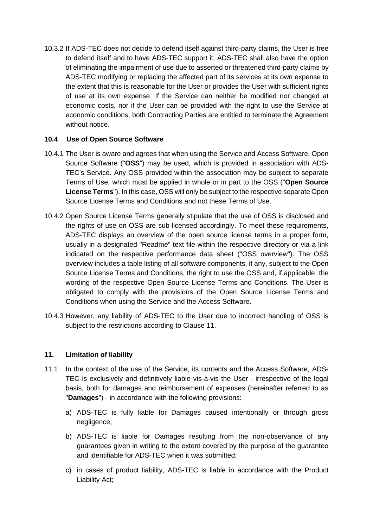10.3.2 If ADS-TEC does not decide to defend itself against third-party claims, the User is free to defend itself and to have ADS-TEC support it. ADS-TEC shall also have the option of eliminating the impairment of use due to asserted or threatened third-party claims by ADS-TEC modifying or replacing the affected part of its services at its own expense to the extent that this is reasonable for the User or provides the User with sufficient rights of use at its own expense. If the Service can neither be modified nor changed at economic costs, nor if the User can be provided with the right to use the Service at economic conditions, both Contracting Parties are entitled to terminate the Agreement without notice.

## <span id="page-11-0"></span>**10.4 Use of Open Source Software**

- 10.4.1 The User is aware and agrees that when using the Service and Access Software, Open Source Software ("**OSS**") may be used, which is provided in association with ADS-TEC's Service. Any OSS provided within the association may be subject to separate Terms of Use, which must be applied in whole or in part to the OSS ("**Open Source License Terms**"). In this case, OSS will only be subject to the respective separate Open Source License Terms and Conditions and not these Terms of Use.
- 10.4.2 Open Source License Terms generally stipulate that the use of OSS is disclosed and the rights of use on OSS are sub-licensed accordingly. To meet these requirements, ADS-TEC displays an overview of the open source license terms in a proper form, usually in a designated "Readme" text file within the respective directory or via a link indicated on the respective performance data sheet ("OSS overview"). The OSS overview includes a table listing of all software components, if any, subject to the Open Source License Terms and Conditions, the right to use the OSS and, if applicable, the wording of the respective Open Source License Terms and Conditions. The User is obligated to comply with the provisions of the Open Source License Terms and Conditions when using the Service and the Access Software.
- 10.4.3 However, any liability of ADS-TEC to the User due to incorrect handling of OSS is subject to the restrictions according to Clause 11.

## <span id="page-11-1"></span>**11. Limitation of liability**

- 11.1 In the context of the use of the Service, its contents and the Access Software, ADS-TEC is exclusively and definitively liable vis-à-vis the User - irrespective of the legal basis, both for damages and reimbursement of expenses (hereinafter referred to as "**Damages**") - in accordance with the following provisions:
	- a) ADS-TEC is fully liable for Damages caused intentionally or through gross negligence;
	- b) ADS-TEC is liable for Damages resulting from the non-observance of any guarantees given in writing to the extent covered by the purpose of the guarantee and identifiable for ADS-TEC when it was submitted;
	- c) in cases of product liability, ADS-TEC is liable in accordance with the Product Liability Act;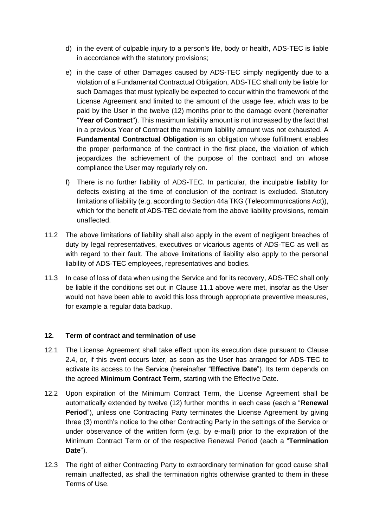- d) in the event of culpable injury to a person's life, body or health, ADS-TEC is liable in accordance with the statutory provisions;
- e) in the case of other Damages caused by ADS-TEC simply negligently due to a violation of a Fundamental Contractual Obligation, ADS-TEC shall only be liable for such Damages that must typically be expected to occur within the framework of the License Agreement and limited to the amount of the usage fee, which was to be paid by the User in the twelve (12) months prior to the damage event (hereinafter "**Year of Contract**"). This maximum liability amount is not increased by the fact that in a previous Year of Contract the maximum liability amount was not exhausted. A **Fundamental Contractual Obligation** is an obligation whose fulfillment enables the proper performance of the contract in the first place, the violation of which jeopardizes the achievement of the purpose of the contract and on whose compliance the User may regularly rely on.
- f) There is no further liability of ADS-TEC. In particular, the inculpable liability for defects existing at the time of conclusion of the contract is excluded. Statutory limitations of liability (e.g. according to Section 44a TKG (Telecommunications Act)), which for the benefit of ADS-TEC deviate from the above liability provisions, remain unaffected.
- 11.2 The above limitations of liability shall also apply in the event of negligent breaches of duty by legal representatives, executives or vicarious agents of ADS-TEC as well as with regard to their fault. The above limitations of liability also apply to the personal liability of ADS-TEC employees, representatives and bodies.
- 11.3 In case of loss of data when using the Service and for its recovery, ADS-TEC shall only be liable if the conditions set out in Clause 11.1 above were met, insofar as the User would not have been able to avoid this loss through appropriate preventive measures, for example a regular data backup.

## <span id="page-12-0"></span>**12. Term of contract and termination of use**

- 12.1 The License Agreement shall take effect upon its execution date pursuant to Clause 2.4, or, if this event occurs later, as soon as the User has arranged for ADS-TEC to activate its access to the Service (hereinafter "**Effective Date**"). Its term depends on the agreed **Minimum Contract Term**, starting with the Effective Date.
- 12.2 Upon expiration of the Minimum Contract Term, the License Agreement shall be automatically extended by twelve (12) further months in each case (each a "**Renewal Period**"), unless one Contracting Party terminates the License Agreement by giving three (3) month's notice to the other Contracting Party in the settings of the Service or under observance of the written form (e.g. by e-mail) prior to the expiration of the Minimum Contract Term or of the respective Renewal Period (each a "**Termination Date**").
- 12.3 The right of either Contracting Party to extraordinary termination for good cause shall remain unaffected, as shall the termination rights otherwise granted to them in these Terms of Use.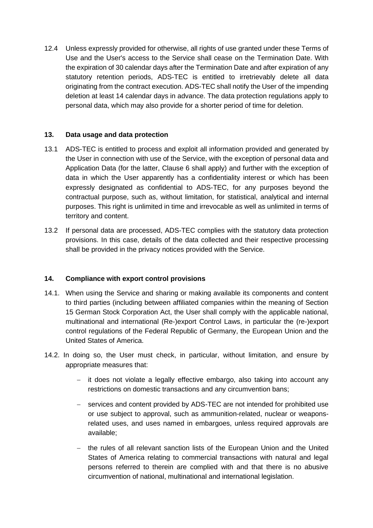12.4 Unless expressly provided for otherwise, all rights of use granted under these Terms of Use and the User's access to the Service shall cease on the Termination Date. With the expiration of 30 calendar days after the Termination Date and after expiration of any statutory retention periods, ADS-TEC is entitled to irretrievably delete all data originating from the contract execution. ADS-TEC shall notify the User of the impending deletion at least 14 calendar days in advance. The data protection regulations apply to personal data, which may also provide for a shorter period of time for deletion.

### <span id="page-13-0"></span>**13. Data usage and data protection**

- 13.1 ADS-TEC is entitled to process and exploit all information provided and generated by the User in connection with use of the Service, with the exception of personal data and Application Data (for the latter, Clause 6 shall apply) and further with the exception of data in which the User apparently has a confidentiality interest or which has been expressly designated as confidential to ADS-TEC, for any purposes beyond the contractual purpose, such as, without limitation, for statistical, analytical and internal purposes. This right is unlimited in time and irrevocable as well as unlimited in terms of territory and content.
- 13.2 If personal data are processed, ADS-TEC complies with the statutory data protection provisions. In this case, details of the data collected and their respective processing shall be provided in the privacy notices provided with the Service.

## <span id="page-13-1"></span>**14. Compliance with export control provisions**

- 14.1. When using the Service and sharing or making available its components and content to third parties (including between affiliated companies within the meaning of Section 15 German Stock Corporation Act, the User shall comply with the applicable national, multinational and international (Re-)export Control Laws, in particular the (re-)export control regulations of the Federal Republic of Germany, the European Union and the United States of America.
- 14.2. In doing so, the User must check, in particular, without limitation, and ensure by appropriate measures that:
	- − it does not violate a legally effective embargo, also taking into account any restrictions on domestic transactions and any circumvention bans;
	- − services and content provided by ADS-TEC are not intended for prohibited use or use subject to approval, such as ammunition-related, nuclear or weaponsrelated uses, and uses named in embargoes, unless required approvals are available;
	- − the rules of all relevant sanction lists of the European Union and the United States of America relating to commercial transactions with natural and legal persons referred to therein are complied with and that there is no abusive circumvention of national, multinational and international legislation.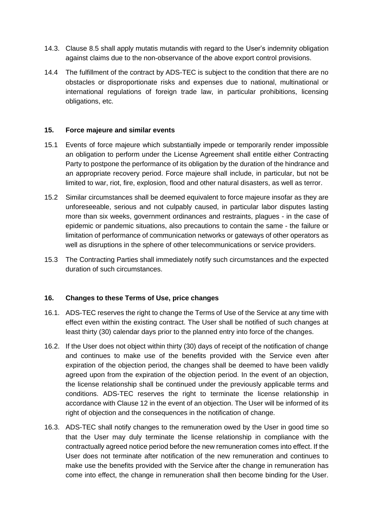- 14.3. Clause 8.5 shall apply mutatis mutandis with regard to the User's indemnity obligation against claims due to the non-observance of the above export control provisions.
- 14.4 The fulfillment of the contract by ADS-TEC is subject to the condition that there are no obstacles or disproportionate risks and expenses due to national, multinational or international regulations of foreign trade law, in particular prohibitions, licensing obligations, etc.

### <span id="page-14-0"></span>**15. Force majeure and similar events**

- 15.1 Events of force majeure which substantially impede or temporarily render impossible an obligation to perform under the License Agreement shall entitle either Contracting Party to postpone the performance of its obligation by the duration of the hindrance and an appropriate recovery period. Force majeure shall include, in particular, but not be limited to war, riot, fire, explosion, flood and other natural disasters, as well as terror.
- 15.2 Similar circumstances shall be deemed equivalent to force majeure insofar as they are unforeseeable, serious and not culpably caused, in particular labor disputes lasting more than six weeks, government ordinances and restraints, plagues - in the case of epidemic or pandemic situations, also precautions to contain the same - the failure or limitation of performance of communication networks or gateways of other operators as well as disruptions in the sphere of other telecommunications or service providers.
- 15.3 The Contracting Parties shall immediately notify such circumstances and the expected duration of such circumstances.

### <span id="page-14-1"></span>**16. Changes to these Terms of Use, price changes**

- 16.1. ADS-TEC reserves the right to change the Terms of Use of the Service at any time with effect even within the existing contract. The User shall be notified of such changes at least thirty (30) calendar days prior to the planned entry into force of the changes.
- 16.2. If the User does not object within thirty (30) days of receipt of the notification of change and continues to make use of the benefits provided with the Service even after expiration of the objection period, the changes shall be deemed to have been validly agreed upon from the expiration of the objection period. In the event of an objection, the license relationship shall be continued under the previously applicable terms and conditions. ADS-TEC reserves the right to terminate the license relationship in accordance with Clause 12 in the event of an objection. The User will be informed of its right of objection and the consequences in the notification of change.
- 16.3. ADS-TEC shall notify changes to the remuneration owed by the User in good time so that the User may duly terminate the license relationship in compliance with the contractually agreed notice period before the new remuneration comes into effect. If the User does not terminate after notification of the new remuneration and continues to make use the benefits provided with the Service after the change in remuneration has come into effect, the change in remuneration shall then become binding for the User.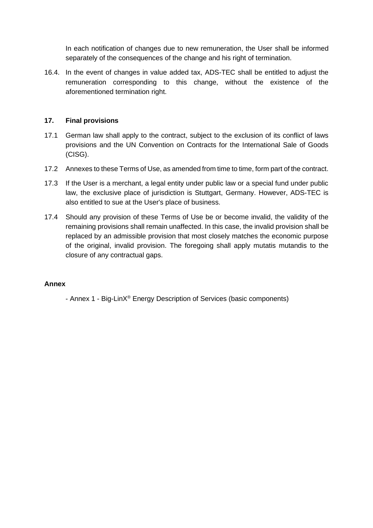In each notification of changes due to new remuneration, the User shall be informed separately of the consequences of the change and his right of termination.

16.4. In the event of changes in value added tax, ADS-TEC shall be entitled to adjust the remuneration corresponding to this change, without the existence of the aforementioned termination right.

### <span id="page-15-0"></span>**17. Final provisions**

- 17.1 German law shall apply to the contract, subject to the exclusion of its conflict of laws provisions and the UN Convention on Contracts for the International Sale of Goods (CISG).
- 17.2 Annexes to these Terms of Use, as amended from time to time, form part of the contract.
- 17.3 If the User is a merchant, a legal entity under public law or a special fund under public law, the exclusive place of jurisdiction is Stuttgart, Germany. However, ADS-TEC is also entitled to sue at the User's place of business.
- 17.4 Should any provision of these Terms of Use be or become invalid, the validity of the remaining provisions shall remain unaffected. In this case, the invalid provision shall be replaced by an admissible provision that most closely matches the economic purpose of the original, invalid provision. The foregoing shall apply mutatis mutandis to the closure of any contractual gaps.

### **Annex**

- Annex 1 - Big-LinX® Energy Description of Services (basic components)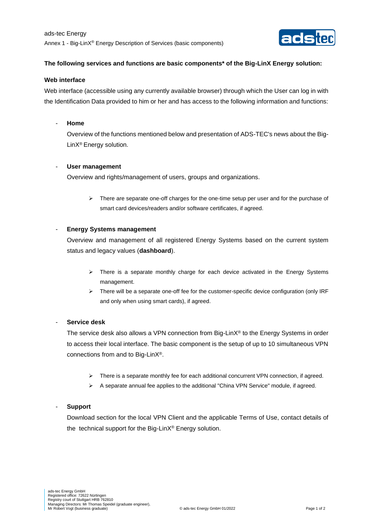

#### **The following services and functions are basic components\* of the Big-LinX Energy solution:**

#### **Web interface**

Web interface (accessible using any currently available browser) through which the User can log in with the Identification Data provided to him or her and has access to the following information and functions:

#### - **Home**

Overview of the functions mentioned below and presentation of ADS-TEC's news about the Big-LinX® Energy solution.

#### - **User management**

Overview and rights/management of users, groups and organizations.

➢ There are separate one-off charges for the one-time setup per user and for the purchase of smart card devices/readers and/or software certificates, if agreed.

#### - **Energy Systems management**

Overview and management of all registered Energy Systems based on the current system status and legacy values (**dashboard**).

- $\triangleright$  There is a separate monthly charge for each device activated in the Energy Systems management.
- ➢ There will be a separate one-off fee for the customer-specific device configuration (only IRF and only when using smart cards), if agreed.

#### - **Service desk**

The service desk also allows a VPN connection from Big-Lin $X^{\circledast}$  to the Energy Systems in order to access their local interface. The basic component is the setup of up to 10 simultaneous VPN connections from and to Big-LinX®.

- ➢ There is a separate monthly fee for each additional concurrent VPN connection, if agreed.
- ➢ A separate annual fee applies to the additional "China VPN Service" module, if agreed.

#### - **Support**

Download section for the local VPN Client and the applicable Terms of Use, contact details of the technical support for the Big-LinX® Energy solution.